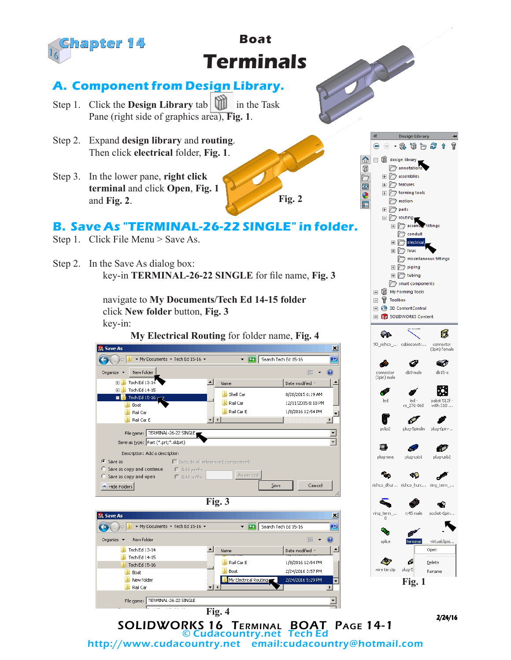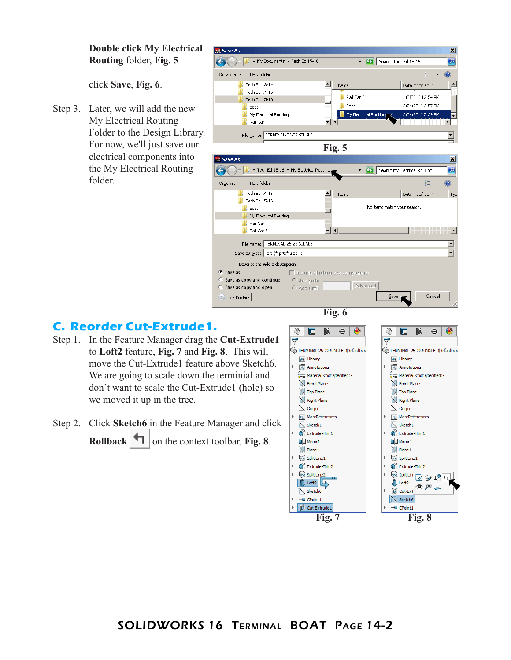**Double click My Electrical Routing** folder, **Fig. 5**

click **Save**, **Fig. 6**.

Step 3. Later, we will add the new My Electrical Routing Folder to the Design Library. For now, we'll just save our electrical components into the My Electrical Routing folder.

**SHE Save As** ⊠ V 3 Search Tech Ed 15-16  $\bigodot$   $\bigodot$   $\bigodot$ ▼ My Documents ▼ Tech Ed 15-16 ▼  $\overline{P}$  $\frac{1}{2}$  =  $\frac{1}{2}$  $\circledR$ Organize  $\blacktriangledown$ New folder  $\blacksquare$  Tech Ed 13-14  $\boxed{\triangle}$  Name  $\blacktriangle$ Date modified A Tech Ed 14-15 Rail Car E 1/8/2016 12:54 PM  $\blacksquare$  Tech Ed 15-16 **D** Boat 2/24/2016 3:57 PM **N** Boat My Electrical Routing My Electrical F 2/24/2016 5:29 PM  $\blacktriangledown$ Rail Car  $\blacktriangleright$ File name: TERMINAL-26-22 SINGLE  $\overline{\mathbf{r}}$ **Fig. 5**  $\vert x \vert$ **Sit Save As** ▼ Tech Ed 15-16 ▼ My Electrical Routing The Search My Electrical Routing  $\overline{P}$ Ķ  $\circledcirc$ Organize  $\blacktriangledown$ New folder ⊫⊸  $\boxed{\triangle}$  Name  $\blacksquare$  Tech Ed 14-15 Date modified -Typ Tech Ed 15-16 No items match your search. **Boat** My Electrical Routing **N** Rail Car Rail Car E ᆋ  $\blacktriangleright$ File name: TERMINAL-26-22 SINGLE  $\overline{\mathbf{r}}$  $\overline{\blacksquare}$ Save as type: Part (\*.prt;\*.sldprt) Description: Add a description G. Save as  $\Box$  Include all referenced components  $\bullet$  Add prefix C Save as copy and continue Advanced  $\bullet$  Save as copy and open C Add suffix Hide Folders  $S$ ave Cancel **Fig. 6**

## **C. Reorder Cut-Extrude1.**

- Step 1. In the Feature Manager drag the **Cut-Extrude1** to **Loft2** feature, **Fig. 7** and **Fig. 8**. This will move the Cut-Extrude1 feature above Sketch6. We are going to scale down the terminial and don't want to scale the Cut-Extrude1 (hole) so we moved it up in the tree.
- Step 2. Click **Sketch6** in the Feature Manager and click **Rollback**  $\Box$  on the context toolbar, **Fig. 8**.

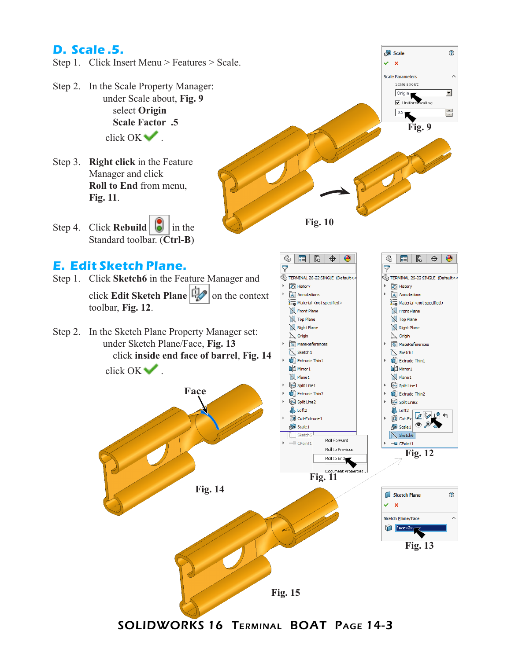## **D. Scale .5.**

- Step 1. Click Insert Menu > Features > Scale.
- Step 2. In the Scale Property Manager: under Scale about, **Fig. 9** select **Origin Scale Factor .5** click OK ...
- Step 3. **Right click** in the Feature Manager and click **Roll to End** from menu, **Fig. 11**.
- Step 4. Click **Rebuild**  $\boxed{6}$  in the Standard toolbar. (**Ctrl-B**)

## **E. Edit Sketch Plane.**

Step 1. Click **Sketch6** in the Feature Manager and click **Edit Sketch Plane**  $\mathbb{Q}$  on the context toolbar, **Fig. 12**.

Step 2. In the Sketch Plane Property Manager set: under Sketch Plane/Face, **Fig. 13** click **inside end face of barrel**, **Fig. 14**





 $^{\circ}$ 

**Fig. 9**

 $\odot$ 

 $\lambda$ 

 $\overline{\phantom{0}}$ 

Ξ

●

Scale

Scale about: Origin<br>V Uniform scaling

 $\frac{0.5}{\sqrt{2}}$ 

 $\vee$  x **Scale Parameters** 

**Fig. 15**

SOLIDWORKS 16 Terminal BOAT Page 14-3